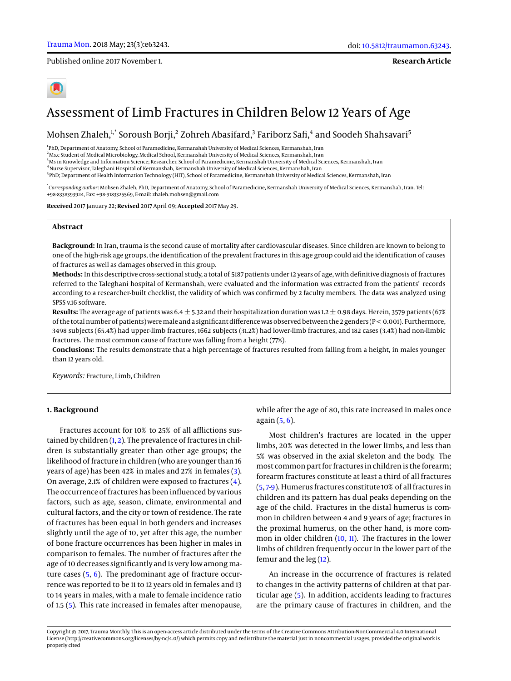Published online 2017 November 1.

**Research Article**

|--|

# Assessment of Limb Fractures in Children Below 12 Years of Age

# Mohsen Zhaleh, $^{\rm 1, *}$  Soroush Borji, $^{\rm 2}$  Zohreh Abasifard, $^{\rm 3}$  Fariborz Safi, $^{\rm 4}$  and Soodeh Shahsavari $^{\rm 5}$

1 PhD, Department of Anatomy, School of Paramedicine, Kermanshah University of Medical Sciences, Kermanshah, Iran

 $^2$ Ms.c Student of Medical Microbiology, Medical School, Kermanshah University of Medical Sciences, Kermanshah, Iran

 $^3$ Ms in Knowledge and Information Science; Researcher, School of Paramedicine, Kermanshah University of Medical Sciences, Kermanshah, Iran

<sup>4</sup>Nurse Supervisor, Taleghani Hospital of Kermanshah, Kermanshah University of Medical Sciences, Kermanshah, Iran

<sup>5</sup> PhD; Department of Health Information Technology (HIT), School of Paramedicine, Kermanshah University of Medical Sciences, Kermanshah, Iran

\* *Corresponding author*: Mohsen Zhaleh, PhD, Department of Anatomy, School of Paramedicine, Kermanshah University of Medical Sciences, Kermanshah, Iran. Tel: +98-8338393924, Fax: +98-9183325569, E-mail: zhaleh.mohsen@gmail.com

**Received** 2017 January 22; **Revised** 2017 April 09; **Accepted** 2017 May 29.

# **Abstract**

**Background:** In Iran, trauma is the second cause of mortality after cardiovascular diseases. Since children are known to belong to one of the high-risk age groups, the identification of the prevalent fractures in this age group could aid the identification of causes of fractures as well as damages observed in this group.

**Methods:** In this descriptive cross-sectional study, a total of 5187 patients under 12 years of age, with definitive diagnosis of fractures referred to the Taleghani hospital of Kermanshah, were evaluated and the information was extracted from the patients' records according to a researcher-built checklist, the validity of which was confirmed by 2 faculty members. The data was analyzed using SPSS v.16 software.

**Results:** The average age of patients was  $6.4 \pm 5.32$  and their hospitalization duration was 1.2 $\pm$ 0.98 days. Herein, 3579 patients (67%) of the total number of patients) were male and a significant difference was observed between the 2 genders (P < 0.001). Furthermore, 3498 subjects (65.4%) had upper-limb fractures, 1662 subjects (31.2%) had lower-limb fractures, and 182 cases (3.4%) had non-limbic fractures. The most common cause of fracture was falling from a height (77%).

**Conclusions:** The results demonstrate that a high percentage of fractures resulted from falling from a height, in males younger than 12 years old.

*Keywords:* Fracture, Limb, Children

#### **1. Background**

Fractures account for 10% to 25% of all afflictions sustained by children  $(1, 2)$  $(1, 2)$  $(1, 2)$ . The prevalence of fractures in children is substantially greater than other age groups; the likelihood of fracture in children (who are younger than 16 years of age) has been 42% in males and 27% in females [\(3\)](#page-3-2). On average, 2.1% of children were exposed to fractures [\(4\)](#page-3-3). The occurrence of fractures has been influenced by various factors, such as age, season, climate, environmental and cultural factors, and the city or town of residence. The rate of fractures has been equal in both genders and increases slightly until the age of 10, yet after this age, the number of bone fracture occurrences has been higher in males in comparison to females. The number of fractures after the age of 10 decreases significantly and is very low among mature cases [\(5,](#page-3-4) [6\)](#page-3-5). The predominant age of fracture occurrence was reported to be 11 to 12 years old in females and 13 to 14 years in males, with a male to female incidence ratio of 1.5 [\(5\)](#page-3-4). This rate increased in females after menopause,

while after the age of 80, this rate increased in males once again [\(5,](#page-3-4) [6\)](#page-3-5).

Most children's fractures are located in the upper limbs, 20% was detected in the lower limbs, and less than 5% was observed in the axial skeleton and the body. The most common part for fractures in children is the forearm; forearm fractures constitute at least a third of all fractures [\(5,](#page-3-4) [7](#page-3-6)[-9\)](#page-3-7). Humerus fractures constitute 10% of all fractures in children and its pattern has dual peaks depending on the age of the child. Fractures in the distal humerus is common in children between 4 and 9 years of age; fractures in the proximal humerus, on the other hand, is more common in older children [\(10,](#page-3-8) [11\)](#page-3-9). The fractures in the lower limbs of children frequently occur in the lower part of the femur and the leg [\(12\)](#page-3-10).

An increase in the occurrence of fractures is related to changes in the activity patterns of children at that particular age [\(5\)](#page-3-4). In addition, accidents leading to fractures are the primary cause of fractures in children, and the

Copyright © 2017, Trauma Monthly. This is an open-access article distributed under the terms of the Creative Commons Attribution-NonCommercial 4.0 International License (http://creativecommons.org/licenses/by-nc/4.0/) which permits copy and redistribute the material just in noncommercial usages, provided the original work is properly cited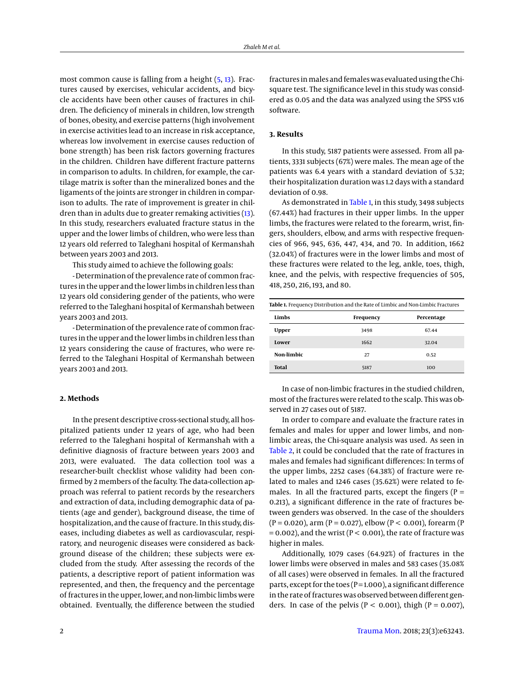most common cause is falling from a height [\(5,](#page-3-4) [13\)](#page-3-11). Fractures caused by exercises, vehicular accidents, and bicycle accidents have been other causes of fractures in children. The deficiency of minerals in children, low strength of bones, obesity, and exercise patterns (high involvement in exercise activities lead to an increase in risk acceptance, whereas low involvement in exercise causes reduction of bone strength) has been risk factors governing fractures in the children. Children have different fracture patterns in comparison to adults. In children, for example, the cartilage matrix is softer than the mineralized bones and the ligaments of the joints are stronger in children in comparison to adults. The rate of improvement is greater in children than in adults due to greater remaking activities [\(13\)](#page-3-11). In this study, researchers evaluated fracture status in the upper and the lower limbs of children, who were less than 12 years old referred to Taleghani hospital of Kermanshah between years 2003 and 2013.

This study aimed to achieve the following goals:

- Determination of the prevalence rate of common fractures in the upper and the lower limbs in children less than 12 years old considering gender of the patients, who were referred to the Taleghani hospital of Kermanshah between years 2003 and 2013.

- Determination of the prevalence rate of common fractures in the upper and the lower limbs in children less than 12 years considering the cause of fractures, who were referred to the Taleghani Hospital of Kermanshah between years 2003 and 2013.

## **2. Methods**

In the present descriptive cross-sectional study, all hospitalized patients under 12 years of age, who had been referred to the Taleghani hospital of Kermanshah with a definitive diagnosis of fracture between years 2003 and 2013, were evaluated. The data collection tool was a researcher-built checklist whose validity had been confirmed by 2 members of the faculty. The data-collection approach was referral to patient records by the researchers and extraction of data, including demographic data of patients (age and gender), background disease, the time of hospitalization, and the cause of fracture. In this study, diseases, including diabetes as well as cardiovascular, respiratory, and neurogenic diseases were considered as background disease of the children; these subjects were excluded from the study. After assessing the records of the patients, a descriptive report of patient information was represented, and then, the frequency and the percentage of fractures in the upper, lower, and non-limbic limbs were obtained. Eventually, the difference between the studied

fractures in males and females was evaluated using the Chisquare test. The significance level in this study was considered as 0.05 and the data was analyzed using the SPSS v.16 software.

# **3. Results**

In this study, 5187 patients were assessed. From all patients, 3331 subjects (67%) were males. The mean age of the patients was 6.4 years with a standard deviation of 5.32; their hospitalization duration was 1.2 days with a standard deviation of 0.98.

As demonstrated in [Table 1,](#page-1-0) in this study, 3498 subjects (67.44%) had fractures in their upper limbs. In the upper limbs, the fractures were related to the forearm, wrist, fingers, shoulders, elbow, and arms with respective frequencies of 966, 945, 636, 447, 434, and 70. In addition, 1662 (32.04%) of fractures were in the lower limbs and most of these fractures were related to the leg, ankle, toes, thigh, knee, and the pelvis, with respective frequencies of 505, 418, 250, 216, 193, and 80.

<span id="page-1-0"></span>

| Table 1. Frequency Distribution and the Rate of Limbic and Non-Limbic Fractures |           |            |  |  |  |  |
|---------------------------------------------------------------------------------|-----------|------------|--|--|--|--|
| Limbs                                                                           | Frequency | Percentage |  |  |  |  |
| <b>Upper</b>                                                                    | 3498      | 67.44      |  |  |  |  |
| Lower                                                                           | 1662      | 32.04      |  |  |  |  |
| Non-limbic                                                                      | 27        | 0.52       |  |  |  |  |
| Total                                                                           | 5187      | 100        |  |  |  |  |

In case of non-limbic fractures in the studied children, most of the fractures were related to the scalp. This was observed in 27 cases out of 5187.

In order to compare and evaluate the fracture rates in females and males for upper and lower limbs, and nonlimbic areas, the Chi-square analysis was used. As seen in [Table 2,](#page-2-0) it could be concluded that the rate of fractures in males and females had significant differences: In terms of the upper limbs, 2252 cases (64.38%) of fracture were related to males and 1246 cases (35.62%) were related to females. In all the fractured parts, except the fingers ( $P =$ 0.213), a significant difference in the rate of fractures between genders was observed. In the case of the shoulders  $(P = 0.020)$ , arm  $(P = 0.027)$ , elbow  $(P < 0.001)$ , forearm  $(P$  $= 0.002$ ), and the wrist (P < 0.001), the rate of fracture was higher in males.

Additionally, 1079 cases (64.92%) of fractures in the lower limbs were observed in males and 583 cases (35.08% of all cases) were observed in females. In all the fractured parts, except for the toes ( $P = 1.000$ ), a significant difference in the rate of fractures was observed between different genders. In case of the pelvis ( $P < 0.001$ ), thigh ( $P = 0.007$ ),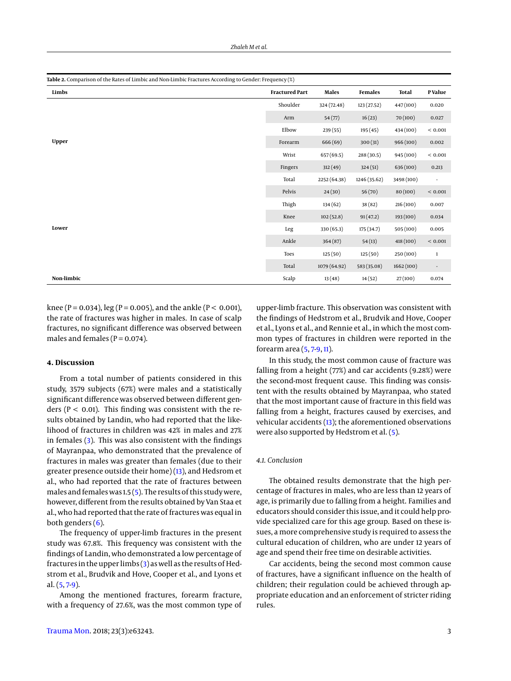<span id="page-2-0"></span>

| Table 2. Comparison of the Rates of Limbic and Non-Limbic Fractures According to Gender: Frequency (%) |                       |              |                |              |                          |  |  |
|--------------------------------------------------------------------------------------------------------|-----------------------|--------------|----------------|--------------|--------------------------|--|--|
| Limbs                                                                                                  | <b>Fractured Part</b> | <b>Males</b> | <b>Females</b> | <b>Total</b> | P Value                  |  |  |
|                                                                                                        | Shoulder              | 324 (72.48)  | 123 (27.52)    | 447(100)     | 0.020                    |  |  |
|                                                                                                        | Arm                   | 54(77)       | 16(23)         | 70(100)      | 0.027                    |  |  |
|                                                                                                        | Elbow                 | 239(55)      | 195(45)        | 434 (100)    | < 0.001                  |  |  |
| <b>Upper</b>                                                                                           | Forearm               | 666 (69)     | 300(31)        | 966 (100)    | 0.002                    |  |  |
|                                                                                                        | Wrist                 | 657 (69.5)   | 288(30.5)      | 945 (100)    | ${}< 0.001$              |  |  |
|                                                                                                        | Fingers               | 312(49)      | 324(51)        | 636 (100)    | 0.213                    |  |  |
|                                                                                                        | Total                 | 2252 (64.38) | 1246 (35.62)   | 3498 (100)   | $\overline{\phantom{a}}$ |  |  |
|                                                                                                        | Pelvis                | 24(30)       | 56(70)         | 80 (100)     | ${}< 0.001$              |  |  |
|                                                                                                        | Thigh                 | 134(62)      | 38(82)         | 216 (100)    | 0.007                    |  |  |
|                                                                                                        | Knee                  | 102(52.8)    | 91(47.2)       | 193 (100)    | 0.034                    |  |  |
| Lower                                                                                                  | Leg                   | 330 (65.3)   | 175 (34.7)     | 505 (100)    | 0.005                    |  |  |
|                                                                                                        | Ankle                 | 364(87)      | 54(13)         | 418 (100)    | ${}< 0.001$              |  |  |
|                                                                                                        | Toes                  | 125(50)      | 125(50)        | 250 (100)    | $\mathbf{1}$             |  |  |
|                                                                                                        | Total                 | 1079 (64.92) | 583 (35.08)    | 1662(100)    | $\overline{\phantom{a}}$ |  |  |
| Non-limbic                                                                                             | Scalp                 | 13(48)       | 14(52)         | 27(100)      | 0.074                    |  |  |

knee (P = 0.034), leg (P = 0.005), and the ankle (P < 0.001), the rate of fractures was higher in males. In case of scalp fractures, no significant difference was observed between males and females ( $P = 0.074$ ).

#### **4. Discussion**

From a total number of patients considered in this study, 3579 subjects (67%) were males and a statistically significant difference was observed between different genders ( $P < 0.01$ ). This finding was consistent with the results obtained by Landin, who had reported that the likelihood of fractures in children was 42% in males and 27% in females [\(3\)](#page-3-2). This was also consistent with the findings of Mayranpaa, who demonstrated that the prevalence of fractures in males was greater than females (due to their greater presence outside their home) [\(13\)](#page-3-11), and Hedsrom et al., who had reported that the rate of fractures between males and females was  $1.5(5)$  $1.5(5)$ . The results of this study were, however, different from the results obtained by Van Staa et al., who had reported that the rate of fractures was equal in both genders  $(6)$ .

The frequency of upper-limb fractures in the present study was 67.8%. This frequency was consistent with the findings of Landin, who demonstrated a low percentage of fractures in the upper limbs [\(3\)](#page-3-2) as well as the results of Hedstrom et al., Brudvik and Hove, Cooper et al., and Lyons et al.  $(5, 7.9)$  $(5, 7.9)$  $(5, 7.9)$ .

Among the mentioned fractures, forearm fracture, with a frequency of 27.6%, was the most common type of

upper-limb fracture. This observation was consistent with the findings of Hedstrom et al., Brudvik and Hove, Cooper et al., Lyons et al., and Rennie et al., in which the most common types of fractures in children were reported in the forearm area [\(5,](#page-3-4) [7-](#page-3-6)[9,](#page-3-7) [11\)](#page-3-9).

In this study, the most common cause of fracture was falling from a height (77%) and car accidents (9.28%) were the second-most frequent cause. This finding was consistent with the results obtained by Mayranpaa, who stated that the most important cause of fracture in this field was falling from a height, fractures caused by exercises, and vehicular accidents [\(13\)](#page-3-11); the aforementioned observations were also supported by Hedstrom et al. [\(5\)](#page-3-4).

#### *4.1. Conclusion*

The obtained results demonstrate that the high percentage of fractures in males, who are less than 12 years of age, is primarily due to falling from a height. Families and educators should consider this issue, and it could help provide specialized care for this age group. Based on these issues, a more comprehensive study is required to assess the cultural education of children, who are under 12 years of age and spend their free time on desirable activities.

Car accidents, being the second most common cause of fractures, have a significant influence on the health of children; their regulation could be achieved through appropriate education and an enforcement of stricter riding rules.